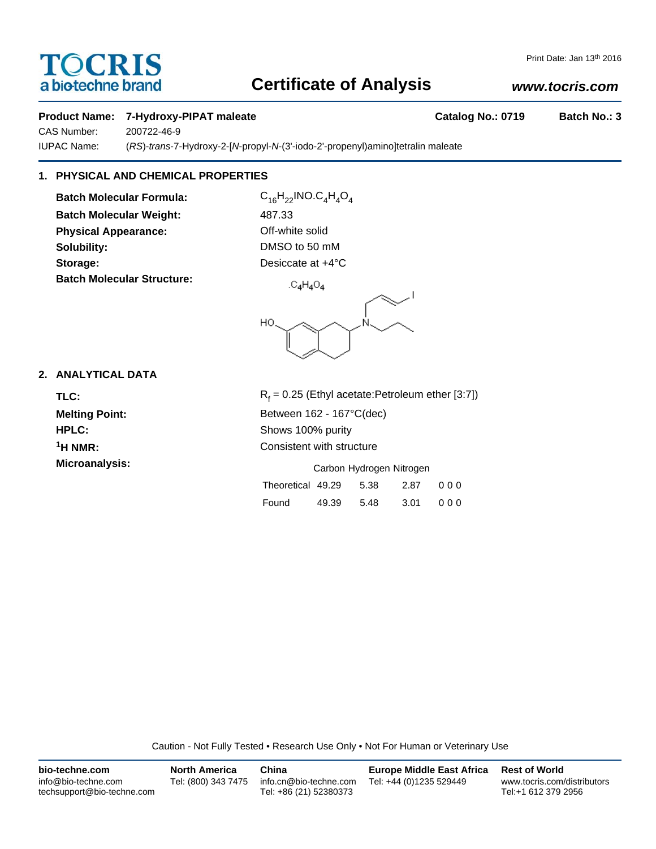# **TOCRIS** a biotechne brand

## **Certificate of Analysis**

## *www.tocris.com*

#### **Product Name: 7-Hydroxy-PIPAT maleate Catalog No.: 0719 Batch No.: 3**

CAS Number: 200722-46-9 IUPAC Name: (*RS*)-*trans*-7-Hydroxy-2-[*N*-propyl-*N*-(3'-iodo-2'-propenyl)amino]tetralin maleate

## **1. PHYSICAL AND CHEMICAL PROPERTIES**

**Batch Molecular Formula:** C<sub>16</sub>H<sub>22</sub>INO.C<sub>4</sub>H<sub>4</sub>O<sub>4</sub> **Batch Molecular Weight:** 487.33 **Physical Appearance: Contract Contract Contract Physical Appearance:** Off-white solid **Solubility:** DMSO to 50 mM **Storage:** Desiccate at  $+4^{\circ}$ C **Batch Molecular Structure:**

 $.C_4H_4O_4$ 



### **2. ANALYTICAL DATA**

TLC: R<sub>f</sub> <sup>1</sup>H NMR: Consistent with structure

 $R_f$  = 0.25 (Ethyl acetate:Petroleum ether [3:7]) **Melting Point:** Between 162 - 167°C(dec) **HPLC:** Shows 100% purity

**Microanalysis:** Microanalysis: Exercise of Carbon Hydrogen Nitrogen

| Theoretical 49.29  5.38  2.87  000 |                      |  |
|------------------------------------|----------------------|--|
| Found                              | 49.39 5.48 3.01 0.00 |  |

Caution - Not Fully Tested • Research Use Only • Not For Human or Veterinary Use

| bio-techne.com                                    | <b>North America</b> | China                                            | <b>Europe Middle East Africa</b> | <b>Rest of World</b>                               |
|---------------------------------------------------|----------------------|--------------------------------------------------|----------------------------------|----------------------------------------------------|
| info@bio-techne.com<br>techsupport@bio-techne.com | Tel: (800) 343 7475  | info.cn@bio-techne.com<br>Tel: +86 (21) 52380373 | Tel: +44 (0)1235 529449          | www.tocris.com/distributors<br>Tel:+1 612 379 2956 |